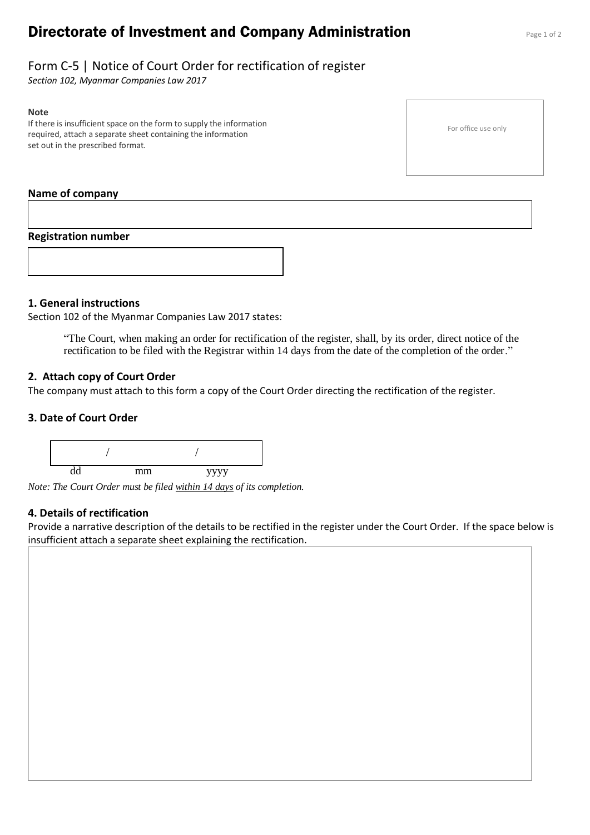# **Directorate of Investment and Company Administration** Page 1 of 2

## Form C-5 | Notice of Court Order for rectification of register

*Section 102, Myanmar Companies Law 2017*

#### **Note**

If there is insufficient space on the form to supply the information required, attach a separate sheet containing the information set out in the prescribed format.

### **Name of company**

#### **Registration number**



#### **1. General instructions**

Section 102 of the Myanmar Companies Law 2017 states:

"The Court, when making an order for rectification of the register, shall, by its order, direct notice of the rectification to be filed with the Registrar within 14 days from the date of the completion of the order."

#### **2. Attach copy of Court Order**

The company must attach to this form a copy of the Court Order directing the rectification of the register.

#### **3. Date of Court Order**



*Note: The Court Order must be filed within 14 days of its completion.*

#### **4. Details of rectification**

Provide a narrative description of the details to be rectified in the register under the Court Order. If the space below is insufficient attach a separate sheet explaining the rectification.

For office use only